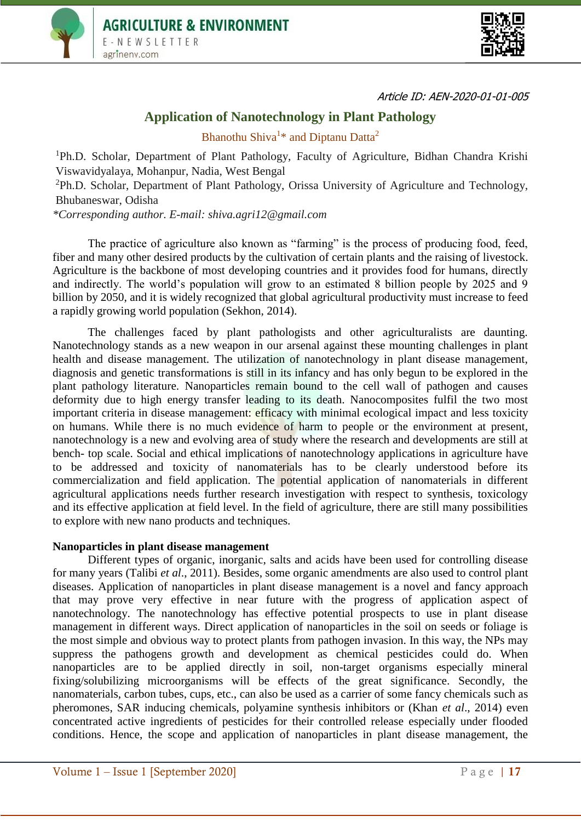



Article ID: AEN-2020-01-01-005

# **Application of Nanotechnology in Plant Pathology**

Bhanothu Shiva<sup>1\*</sup> and Diptanu Datta<sup>2</sup>

<sup>1</sup>Ph.D. Scholar, Department of Plant Pathology, Faculty of Agriculture, Bidhan Chandra Krishi Viswavidyalaya, Mohanpur, Nadia, West Bengal

<sup>2</sup>Ph.D. Scholar, Department of Plant Pathology, Orissa University of Agriculture and Technology, Bhubaneswar, Odisha

*\*Corresponding author. E-mail: shiva.agri12@gmail.com*

The practice of agriculture also known as "farming" is the process of producing food, feed, fiber and many other desired products by the cultivation of certain plants and the raising of livestock. Agriculture is the backbone of most developing countries and it provides food for humans, directly and indirectly. The world's population will grow to an estimated 8 billion people by 2025 and 9 billion by 2050, and it is widely recognized that global agricultural productivity must increase to feed a rapidly growing world population (Sekhon, 2014).

The challenges faced by plant pathologists and other agriculturalists are daunting. Nanotechnology stands as a new weapon in our arsenal against these mounting challenges in plant health and disease management. The utilization of nanotechnology in plant disease management, diagnosis and genetic transformations is still in its infancy and has only begun to be explored in the plant pathology literature. Nanoparticles remain bound to the cell wall of pathogen and causes deformity due to high energy transfer leading to its death. Nanocomposites fulfil the two most important criteria in disease management: efficacy with minimal ecological impact and less toxicity on humans. While there is no much evidence of harm to people or the environment at present, nanotechnology is a new and evolving area of study where the research and developments are still at bench- top scale. Social and ethical implications of nanotechnology applications in agriculture have to be addressed and toxicity of nanomaterials has to be clearly understood before its commercialization and field application. The potential application of nanomaterials in different agricultural applications needs further research investigation with respect to synthesis, toxicology and its effective application at field level. In the field of agriculture, there are still many possibilities to explore with new nano products and techniques.

#### **Nanoparticles in plant disease management**

Different types of organic, inorganic, salts and acids have been used for controlling disease for many years (Talibi *et al*., 2011). Besides, some organic amendments are also used to control plant diseases. Application of nanoparticles in plant disease management is a novel and fancy approach that may prove very effective in near future with the progress of application aspect of nanotechnology. The nanotechnology has effective potential prospects to use in plant disease management in different ways. Direct application of nanoparticles in the soil on seeds or foliage is the most simple and obvious way to protect plants from pathogen invasion. In this way, the NPs may suppress the pathogens growth and development as chemical pesticides could do. When nanoparticles are to be applied directly in soil, non-target organisms especially mineral fixing/solubilizing microorganisms will be effects of the great significance. Secondly, the nanomaterials, carbon tubes, cups, etc., can also be used as a carrier of some fancy chemicals such as pheromones, SAR inducing chemicals, polyamine synthesis inhibitors or (Khan *et al*., 2014) even concentrated active ingredients of pesticides for their controlled release especially under flooded conditions. Hence, the scope and application of nanoparticles in plant disease management, the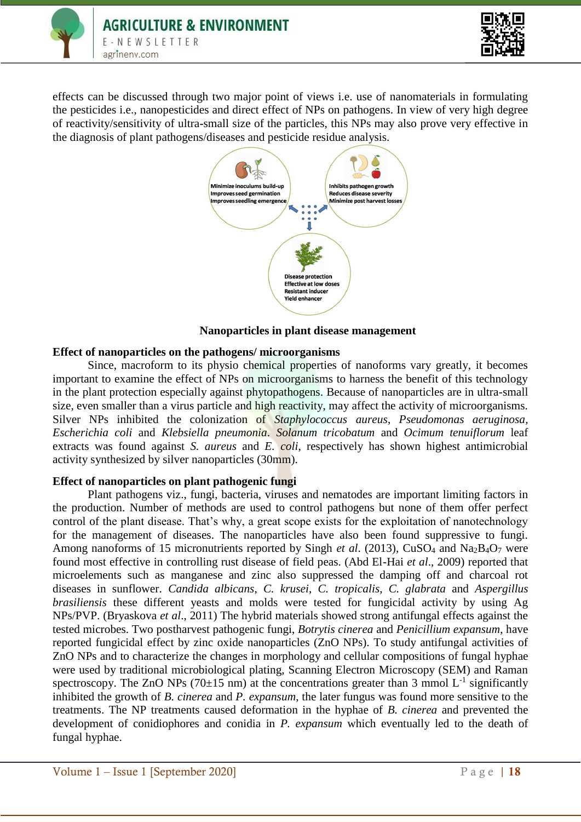



effects can be discussed through two major point of views i.e. use of nanomaterials in formulating the pesticides i.e., nanopesticides and direct effect of NPs on pathogens. In view of very high degree of reactivity/sensitivity of ultra-small size of the particles, this NPs may also prove very effective in the diagnosis of plant pathogens/diseases and pesticide residue analysis.



## **Nanoparticles in plant disease management**

### **Effect of nanoparticles on the pathogens/ microorganisms**

Since, macroform to its physio chemical properties of nanoforms vary greatly, it becomes important to examine the effect of NPs on microorganisms to harness the benefit of this technology in the plant protection especially against phytopathogens. Because of nanoparticles are in ultra-small size, even smaller than a virus particle and high reactivity, may affect the activity of microorganisms. Silver NPs inhibited the colonization of *Staphylococcus aureus*, *Pseudomonas aeruginosa, Escherichia coli* and *Klebsiella pneumonia*. *Solanum tricobatum* and *Ocimum tenuiflorum* leaf extracts was found against *S. aureus* and *E. coli*, respectively has shown highest antimicrobial activity synthesized by silver nanoparticles (30mm).

#### **Effect of nanoparticles on plant pathogenic fungi**

Plant pathogens viz., fungi, bacteria, viruses and nematodes are important limiting factors in the production. Number of methods are used to control pathogens but none of them offer perfect control of the plant disease. That's why, a great scope exists for the exploitation of nanotechnology for the management of diseases. The nanoparticles have also been found suppressive to fungi. Among nanoforms of 15 micronutrients reported by Singh *et al*. (2013), CuSO<sup>4</sup> and Na2B4O<sup>7</sup> were found most effective in controlling rust disease of field peas. (Abd El-Hai *et al*., 2009) reported that microelements such as manganese and zinc also suppressed the damping off and charcoal rot diseases in sunflower. *Candida albicans*, *C. krusei*, *C. tropicalis*, *C. glabrata* and *Aspergillus brasiliensis* these different yeasts and molds were tested for fungicidal activity by using Ag NPs/PVP. (Bryaskova *et al*., 2011) The hybrid materials showed strong antifungal effects against the tested microbes. Two postharvest pathogenic fungi, *Botrytis cinerea* and *Penicillium expansum*, have reported fungicidal effect by zinc oxide nanoparticles (ZnO NPs). To study antifungal activities of ZnO NPs and to characterize the changes in morphology and cellular compositions of fungal hyphae were used by traditional microbiological plating, Scanning Electron Microscopy (SEM) and Raman spectroscopy. The ZnO NPs (70 $\pm$ 15 nm) at the concentrations greater than 3 mmol L<sup>-1</sup> significantly inhibited the growth of *B. cinerea* and *P. expansum*, the later fungus was found more sensitive to the treatments. The NP treatments caused deformation in the hyphae of *B. cinerea* and prevented the development of conidiophores and conidia in *P. expansum* which eventually led to the death of fungal hyphae.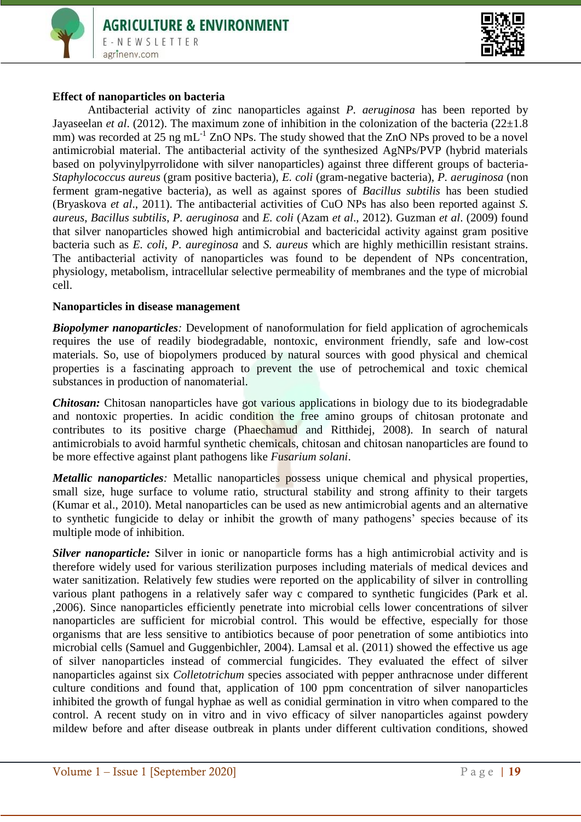



#### **Effect of nanoparticles on bacteria**

Antibacterial activity of zinc nanoparticles against *P. aeruginosa* has been reported by Jayaseelan *et al.* (2012). The maximum zone of inhibition in the colonization of the bacteria (22 $\pm$ 1.8) mm) was recorded at 25 ng mL<sup>-1</sup> ZnO NPs. The study showed that the ZnO NPs proved to be a novel antimicrobial material. The antibacterial activity of the synthesized AgNPs/PVP (hybrid materials based on polyvinylpyrrolidone with silver nanoparticles) against three different groups of bacteria-*Staphylococcus aureus* (gram positive bacteria), *E. coli* (gram-negative bacteria), *P. aeruginosa* (non ferment gram-negative bacteria), as well as against spores of *Bacillus subtilis* has been studied (Bryaskova *et al*., 2011). The antibacterial activities of CuO NPs has also been reported against *S. aureus*, *Bacillus subtilis*, *P. aeruginosa* and *E. coli* (Azam *et al*., 2012). Guzman *et al*. (2009) found that silver nanoparticles showed high antimicrobial and bactericidal activity against gram positive bacteria such as *E. coli*, *P. aureginosa* and *S. aureus* which are highly methicillin resistant strains. The antibacterial activity of nanoparticles was found to be dependent of NPs concentration, physiology, metabolism, intracellular selective permeability of membranes and the type of microbial cell.

#### **Nanoparticles in disease management**

*Biopolymer nanoparticles:* Development of nanoformulation for field application of agrochemicals requires the use of readily biodegradable, nontoxic, environment friendly, safe and low-cost materials. So, use of biopolymers produced by natural sources with good physical and chemical properties is a fascinating approach to prevent the use of petrochemical and toxic chemical substances in production of nanomaterial.

*Chitosan:* Chitosan nanoparticles have got various applications in biology due to its biodegradable and nontoxic properties. In acidic condition the free amino groups of chitosan protonate and contributes to its positive charge (Phaechamud and Ritthidej, 2008). In search of natural antimicrobials to avoid harmful synthetic chemicals, chitosan and chitosan nanoparticles are found to be more effective against plant pathogens like *Fusarium solani*.

*Metallic nanoparticles*: Metallic nanoparticles possess unique chemical and physical properties, small size, huge surface to volume ratio, structural stability and strong affinity to their targets (Kumar et al., 2010). Metal nanoparticles can be used as new antimicrobial agents and an alternative to synthetic fungicide to delay or inhibit the growth of many pathogens' species because of its multiple mode of inhibition.

*Silver nanoparticle:* Silver in ionic or nanoparticle forms has a high antimicrobial activity and is therefore widely used for various sterilization purposes including materials of medical devices and water sanitization. Relatively few studies were reported on the applicability of silver in controlling various plant pathogens in a relatively safer way c compared to synthetic fungicides (Park et al. ,2006). Since nanoparticles efficiently penetrate into microbial cells lower concentrations of silver nanoparticles are sufficient for microbial control. This would be effective, especially for those organisms that are less sensitive to antibiotics because of poor penetration of some antibiotics into microbial cells (Samuel and Guggenbichler, 2004). Lamsal et al. (2011) showed the effective us age of silver nanoparticles instead of commercial fungicides. They evaluated the effect of silver nanoparticles against six *Colletotrichum* species associated with pepper anthracnose under different culture conditions and found that, application of 100 ppm concentration of silver nanoparticles inhibited the growth of fungal hyphae as well as conidial germination in vitro when compared to the control. A recent study on in vitro and in vivo efficacy of silver nanoparticles against powdery mildew before and after disease outbreak in plants under different cultivation conditions, showed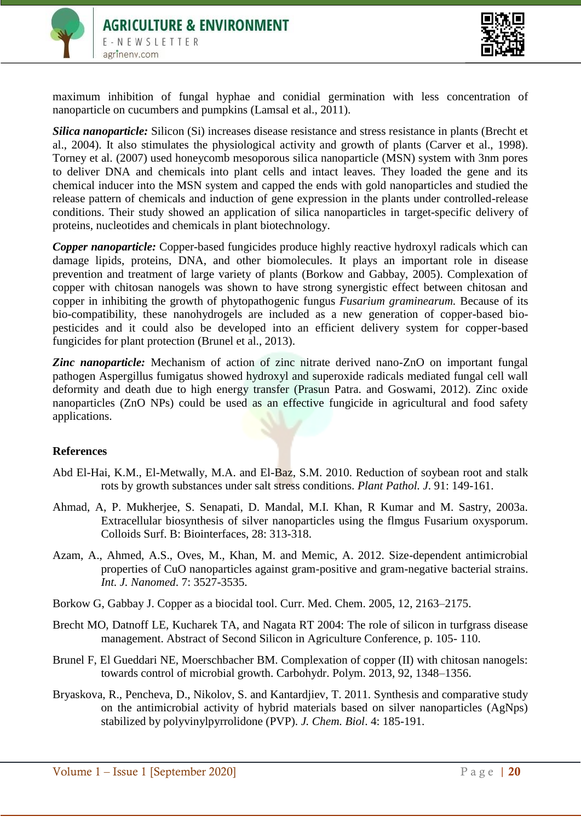



maximum inhibition of fungal hyphae and conidial germination with less concentration of nanoparticle on cucumbers and pumpkins (Lamsal et al., 2011).

*Silica nanoparticle:* Silicon (Si) increases disease resistance and stress resistance in plants (Brecht et al., 2004). It also stimulates the physiological activity and growth of plants (Carver et al., 1998). Torney et al. (2007) used honeycomb mesoporous silica nanoparticle (MSN) system with 3nm pores to deliver DNA and chemicals into plant cells and intact leaves. They loaded the gene and its chemical inducer into the MSN system and capped the ends with gold nanoparticles and studied the release pattern of chemicals and induction of gene expression in the plants under controlled-release conditions. Their study showed an application of silica nanoparticles in target-specific delivery of proteins, nucleotides and chemicals in plant biotechnology.

*Copper nanoparticle:* Copper-based fungicides produce highly reactive hydroxyl radicals which can damage lipids, proteins, DNA, and other biomolecules. It plays an important role in disease prevention and treatment of large variety of plants (Borkow and Gabbay, 2005). Complexation of copper with chitosan nanogels was shown to have strong synergistic effect between chitosan and copper in inhibiting the growth of phytopathogenic fungus *Fusarium graminearum.* Because of its bio-compatibility, these nanohydrogels are included as a new generation of copper-based biopesticides and it could also be developed into an efficient delivery system for copper-based fungicides for plant protection (Brunel et al., 2013).

**Zinc nanoparticle:** Mechanism of action of zinc nitrate derived nano-ZnO on important fungal pathogen Aspergillus fumigatus showed hydroxyl and superoxide radicals mediated fungal cell wall deformity and death due to high energy transfer (Prasun Patra. and Goswami, 2012). Zinc oxide nanoparticles (ZnO NPs) could be used as an effective fungicide in agricultural and food safety applications.

#### **References**

- Abd El-Hai, K.M., El-Metwally, M.A. and El-Baz, S.M. 2010. Reduction of soybean root and stalk rots by growth substances under salt stress conditions. *Plant Pathol. J*. 91: 149-161.
- Ahmad, A, P. Mukherjee, S. Senapati, D. Mandal, M.I. Khan, R Kumar and M. Sastry, 2003a. Extracellular biosynthesis of silver nanoparticles using the flmgus Fusarium oxysporum. Colloids Surf. B: Biointerfaces, 28: 313-318.
- Azam, A., Ahmed, A.S., Oves, M., Khan, M. and Memic, A. 2012. Size-dependent antimicrobial properties of CuO nanoparticles against gram-positive and gram-negative bacterial strains. *Int. J. Nanomed*. 7: 3527-3535.
- Borkow G, Gabbay J. Copper as a biocidal tool. Curr. Med. Chem. 2005, 12, 2163–2175.
- Brecht MO, Datnoff LE, Kucharek TA, and Nagata RT 2004: The role of silicon in turfgrass disease management. Abstract of Second Silicon in Agriculture Conference, p. 105- 110.
- Brunel F, El Gueddari NE, Moerschbacher BM. Complexation of copper (II) with chitosan nanogels: towards control of microbial growth. Carbohydr. Polym. 2013, 92, 1348–1356.
- Bryaskova, R., Pencheva, D., Nikolov, S. and Kantardjiev, T. 2011. Synthesis and comparative study on the antimicrobial activity of hybrid materials based on silver nanoparticles (AgNps) stabilized by polyvinylpyrrolidone (PVP). *J. Chem. Biol*. 4: 185-191.